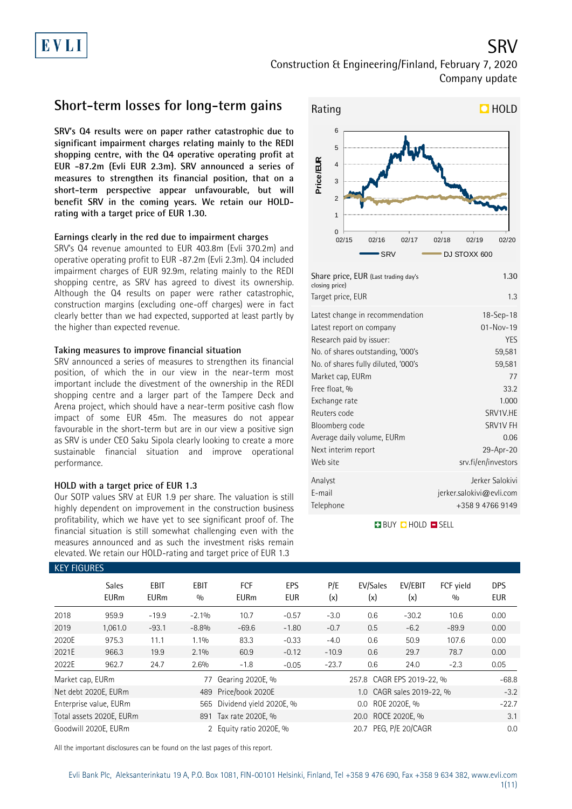# Construction & Engineering/Finland, February 7, 2020 Company update

### **Short-term losses for long-term gains**

**SRV's Q4 results were on paper rather catastrophic due to significant impairment charges relating mainly to the REDI shopping centre, with the Q4 operative operating profit at EUR -87.2m (Evli EUR 2.3m). SRV announced a series of measures to strengthen its financial position, that on a short-term perspective appear unfavourable, but will benefit SRV in the coming years. We retain our HOLDrating with a target price of EUR 1.30.**

### **Earnings clearly in the red due to impairment charges**

SRV's Q4 revenue amounted to EUR 403.8m (Evli 370.2m) and operative operating profit to EUR -87.2m (Evli 2.3m). Q4 included impairment charges of EUR 92.9m, relating mainly to the REDI shopping centre, as SRV has agreed to divest its ownership. Although the Q4 results on paper were rather catastrophic, construction margins (excluding one-off charges) were in fact clearly better than we had expected, supported at least partly by the higher than expected revenue.

### **Taking measures to improve financial situation**

SRV announced a series of measures to strengthen its financial position, of which the in our view in the near-term most important include the divestment of the ownership in the REDI shopping centre and a larger part of the Tampere Deck and Arena project, which should have a near-term positive cash flow impact of some EUR 45m. The measures do not appear favourable in the short-term but are in our view a positive sign as SRV is under CEO Saku Sipola clearly looking to create a more sustainable financial situation and improve operational performance.

### **HOLD with a target price of EUR 1.3**

Our SOTP values SRV at EUR 1.9 per share. The valuation is still highly dependent on improvement in the construction business profitability, which we have yet to see significant proof of. The financial situation is still somewhat challenging even with the measures announced and as such the investment risks remain elevated. We retain our HOLD-rating and target price of EUR 1.3



Telephone +358 9 4766 9149 **BUY Q HOLD O SELL** 

Free float, % 33.2 Exchange rate 1.000 Reuters code SRV1V.HE Bloomberg code SRV1V FH Average daily volume, EURm **1.2008** COM Next interim report 29-Apr-20 Web site structure structure significant structure structure structure structure structure structure structure Analyst Jerker Salokivi E-mail jerker.salokivi@evli.com

| <b>KEY FIGURES</b> |                             |                            |                    |                             |                   |                           |                           |                |                  |                          |
|--------------------|-----------------------------|----------------------------|--------------------|-----------------------------|-------------------|---------------------------|---------------------------|----------------|------------------|--------------------------|
|                    | <b>Sales</b><br><b>EURm</b> | <b>EBIT</b><br><b>EURm</b> | <b>EBIT</b><br>0/0 | <b>FCF</b><br><b>EURm</b>   | EPS<br><b>EUR</b> | P/E<br>(x)                | EV/Sales<br>(x)           | EV/EBIT<br>(x) | FCF vield<br>0/0 | <b>DPS</b><br><b>EUR</b> |
| 2018               | 959.9                       | $-19.9$                    | $-2.1\%$           | 10.7                        | $-0.57$           | $-3.0$                    | 0.6                       | $-30.2$        | 10.6             | 0.00                     |
| 2019               | 1,061.0                     | $-93.1$                    | $-8.8%$            | $-69.6$                     | $-1.80$           | $-0.7$                    | 0.5                       | $-6.2$         | $-89.9$          | 0.00                     |
| 2020E              | 975.3                       | 11.1                       | 1.1%               | 83.3                        | $-0.33$           | $-4.0$                    | 0.6                       | 50.9           | 107.6            | 0.00                     |
| 2021E              | 966.3                       | 19.9                       | 2.1%               | 60.9                        | $-0.12$           | $-10.9$                   | 0.6                       | 29.7           | 78.7             | 0.00                     |
| 2022E              | 962.7                       | 24.7                       | 2.6%               | $-1.8$                      | $-0.05$           | $-23.7$                   | 0.6                       | 24.0           | $-2.3$           | 0.05                     |
| Market cap, EURm   |                             |                            | 77                 | Gearing 2020E, %            |                   |                           | 257.8 CAGR EPS 2019-22, % |                |                  | $-68.8$                  |
|                    | Net debt 2020E, EURm        |                            |                    | 489 Price/book 2020E        |                   | 1.0 CAGR sales 2019-22, % |                           |                |                  | $-3.2$                   |
|                    | Enterprise value, EURm      |                            |                    | 565 Dividend yield 2020E, % |                   | ROE 2020E, %<br>0.0       |                           |                |                  | $-22.7$                  |
|                    | Total assets 2020E, EURm    |                            |                    | 891 Tax rate 2020E, %       |                   | 20.0 ROCE 2020E, %        |                           |                |                  | 3.1                      |
|                    | Goodwill 2020E, EURm        |                            | 2                  | Equity ratio 2020E, %       |                   |                           | 20.7 PEG, P/E 20/CAGR     |                |                  | 0.0                      |

All the important disclosures can be found on the last pages of this report.

SRV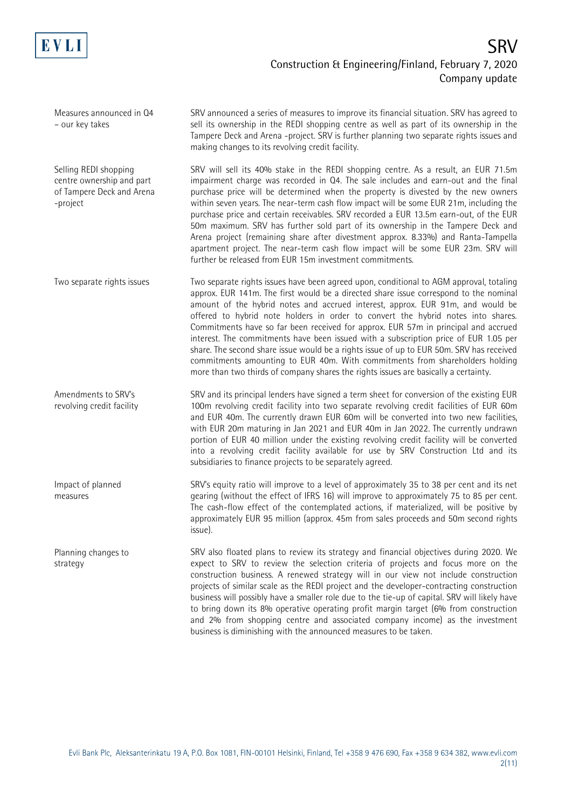

Measures announced in Q4 – our key takes

Selling REDI shopping centre ownership and part of Tampere Deck and Arena -project

Two separate rights issues

Amendments to SRV's revolving credit facility

Impact of planned measures

Planning changes to strategy

SRV announced a series of measures to improve its financial situation. SRV has agreed to sell its ownership in the REDI shopping centre as well as part of its ownership in the Tampere Deck and Arena -project. SRV is further planning two separate rights issues and making changes to its revolving credit facility.

SRV will sell its 40% stake in the REDI shopping centre. As a result, an EUR 71.5m impairment charge was recorded in Q4. The sale includes and earn-out and the final purchase price will be determined when the property is divested by the new owners within seven years. The near-term cash flow impact will be some EUR 21m, including the purchase price and certain receivables. SRV recorded a EUR 13.5m earn-out, of the EUR 50m maximum. SRV has further sold part of its ownership in the Tampere Deck and Arena project (remaining share after divestment approx. 8.33%) and Ranta-Tampella apartment project. The near-term cash flow impact will be some EUR 23m. SRV will further be released from EUR 15m investment commitments.

Two separate rights issues have been agreed upon, conditional to AGM approval, totaling approx. EUR 141m. The first would be a directed share issue correspond to the nominal amount of the hybrid notes and accrued interest, approx. EUR 91m, and would be offered to hybrid note holders in order to convert the hybrid notes into shares. Commitments have so far been received for approx. EUR 57m in principal and accrued interest. The commitments have been issued with a subscription price of EUR 1.05 per share. The second share issue would be a rights issue of up to EUR 50m. SRV has received commitments amounting to EUR 40m. With commitments from shareholders holding more than two thirds of company shares the rights issues are basically a certainty.

SRV and its principal lenders have signed a term sheet for conversion of the existing EUR 100m revolving credit facility into two separate revolving credit facilities of EUR 60m and EUR 40m. The currently drawn EUR 60m will be converted into two new facilities, with EUR 20m maturing in Jan 2021 and EUR 40m in Jan 2022. The currently undrawn portion of EUR 40 million under the existing revolving credit facility will be converted into a revolving credit facility available for use by SRV Construction Ltd and its subsidiaries to finance projects to be separately agreed.

SRV's equity ratio will improve to a level of approximately 35 to 38 per cent and its net gearing (without the effect of IFRS 16) will improve to approximately 75 to 85 per cent. The cash-flow effect of the contemplated actions, if materialized, will be positive by approximately EUR 95 million (approx. 45m from sales proceeds and 50m second rights issue).

SRV also floated plans to review its strategy and financial objectives during 2020. We expect to SRV to review the selection criteria of projects and focus more on the construction business. A renewed strategy will in our view not include construction projects of similar scale as the REDI project and the developer-contracting construction business will possibly have a smaller role due to the tie-up of capital. SRV will likely have to bring down its 8% operative operating profit margin target (6% from construction and 2% from shopping centre and associated company income) as the investment business is diminishing with the announced measures to be taken.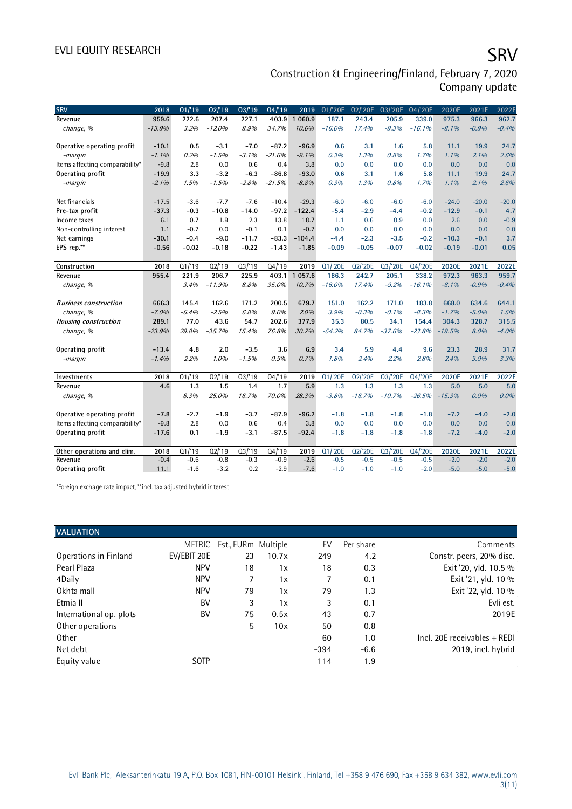# EVLI EQUITY RESEARCH SALL SOMETIME SAN SERVICE SERVICE SERVICE SERVICE SERVICE SERVICE SERVICE SERVICE SERVICE

Construction & Engineering/Finland, February 7, 2020 Company update

| <b>SRV</b>                     | 2018     | Q1/19   | 02/19    | 03/19              | Q4/19    | 2019       | Q1/'20E    | 02/'20E  | Q3/'20E  | Q4/'20E  | 2020E    | 2021E   | 2022E   |
|--------------------------------|----------|---------|----------|--------------------|----------|------------|------------|----------|----------|----------|----------|---------|---------|
| Revenue                        | 959.6    | 222.6   | 207.4    | 227.1              | 403.9    | 1 0 6 0.9  | 187.1      | 243.4    | 205.9    | 339.0    | 975.3    | 966.3   | 962.7   |
| change, %                      | $-13.9%$ | 3.2%    | $-12.0%$ | 8.9%               | 34.7%    | 10.6%      | $-16.0%$   | 17.4%    | $-9.3%$  | $-16.1%$ | $-8.1%$  | $-0.9%$ | $-0.4%$ |
|                                |          |         |          |                    |          |            |            |          |          |          |          |         |         |
| Operative operating profit     | $-10.1$  | 0.5     | $-3.1$   | $-7.0$             | $-87.2$  | $-96.9$    | 0.6        | 3.1      | 1.6      | 5.8      | 11.1     | 19.9    | 24.7    |
| -margin                        | $-1.1%$  | 0.2%    | $-1.5%$  | $-3.1%$            | $-21.6%$ | $-9.1%$    | 0.3%       | 1.3%     | 0.8%     | 1.7%     | 1.1%     | 2.1%    | 2.6%    |
| Items affecting comparability* | $-9.8$   | 2.8     | 0.0      | 0.6                | 0.4      | 3.8        | 0.0        | 0.0      | 0.0      | 0.0      | 0.0      | 0.0     | 0.0     |
| Operating profit               | $-19.9$  | 3.3     | $-3.2$   | $-6.3$             | $-86.8$  | $-93.0$    | 0.6        | 3.1      | 1.6      | 5.8      | 11.1     | 19.9    | 24.7    |
| -margin                        | $-2.1%$  | 1.5%    | $-1.5%$  | $-2.8%$            | $-21.5%$ | $-8.8%$    | 0.3%       | 1.3%     | 0.8%     | 1.7%     | 1.1%     | 2.1%    | 2.6%    |
|                                |          |         |          |                    |          |            |            |          |          |          |          |         |         |
| Net financials                 | $-17.5$  | $-3.6$  | $-7.7$   | $-7.6$             | $-10.4$  | $-29.3$    | $-6.0$     | $-6.0$   | $-6.0$   | $-6.0$   | $-24.0$  | $-20.0$ | $-20.0$ |
| Pre-tax profit                 | $-37.3$  | $-0.3$  | $-10.8$  | $-14.0$            | $-97.2$  | $-122.4$   | $-5.4$     | $-2.9$   | $-4.4$   | $-0.2$   | $-12.9$  | $-0.1$  | 4.7     |
| Income taxes                   | 6.1      | 0.7     | 1.9      | 2.3                | 13.8     | 18.7       | 1.1        | 0.6      | 0.9      | 0.0      | 2.6      | 0.0     | $-0.9$  |
| Non-controlling interest       | 1.1      | $-0.7$  | 0.0      | $-0.1$             | 0.1      | $-0.7$     | 0.0        | 0.0      | 0.0      | 0.0      | 0.0      | 0.0     | 0.0     |
| Net earnings                   | $-30.1$  | $-0.4$  | $-9.0$   | $-11.7$            | $-83.3$  | $-104.4$   | $-4.4$     | $-2.3$   | $-3.5$   | $-0.2$   | $-10.3$  | $-0.1$  | 3.7     |
| EPS rep.**                     | $-0.56$  | $-0.02$ | $-0.18$  | $-0.22$            | $-1.43$  | $-1.85$    | $-0.09$    | $-0.05$  | $-0.07$  | $-0.02$  | $-0.19$  | $-0.01$ | 0.05    |
|                                |          |         |          |                    |          |            |            |          |          |          |          |         |         |
| Construction                   | 2018     | Q1/19   | Q2/19    | Q3/19              | Q4/19    | 2019       | Q1/'20E    | Q2/'20E  | Q3/'20E  | Q4/'20E  | 2020E    | 2021E   | 2022E   |
| Revenue                        | 955.4    | 221.9   | 206.7    | 225.9              | 403.1    | 1 0 5 7 .6 | 186.3      | 242.7    | 205.1    | 338.2    | 972.3    | 963.3   | 959.7   |
| change, %                      |          | 3.4%    | $-11.9%$ | 8.8%               | 35.0%    | 10.7%      | $-16.0%$   | 17.4%    | $-9.2%$  | $-16.1%$ | $-8.1%$  | $-0.9%$ | $-0.4%$ |
|                                |          |         |          |                    |          |            |            |          |          |          |          |         |         |
| <b>Business construction</b>   | 666.3    | 145.4   | 162.6    | 171.2              | 200.5    | 679.7      | 151.0      | 162.2    | 171.0    | 183.8    | 668.0    | 634.6   | 644.1   |
| change, %                      | $-7.0%$  | $-6.4%$ | $-2.5%$  | 6.8%               | $9.0\%$  | 2.0%       | 3.9%       | $-0.3%$  | $-0.1%$  | $-8.3%$  | $-1.7%$  | $-5.0%$ | 1.5%    |
| Housing construction           | 289.1    | 77.0    | 43.6     | 54.7               | 202.6    | 377.9      | 35.3       | 80.5     | 34.1     | 154.4    | 304.3    | 328.7   | 315.5   |
| change, %                      | $-23.9%$ | 29.8%   | $-35.7%$ | 15.4%              | 76.8%    | 30.7%      | $-54.2%$   | 84.7%    | $-37.6%$ | $-23.8%$ | $-19.5%$ | 8.0%    | $-4.0%$ |
|                                |          |         |          |                    |          |            |            |          |          |          |          |         |         |
| Operating profit               | $-13.4$  | 4.8     | 2.0      | $-3.5$             | 3.6      | 6.9        | 3.4        | 5.9      | 4.4      | 9.6      | 23.3     | 28.9    | 31.7    |
| -margin                        | $-1.4%$  | 2.2%    | 1.0%     | $-1.5%$            | 0.9%     | 0.7%       | 1.8%       | 2.4%     | 2.2%     | 2.8%     | 2.4%     | 3.0%    | 3.3%    |
|                                |          |         |          |                    |          |            |            |          |          |          |          |         |         |
| Investments                    | 2018     | Q1/19   | Q2'19    | $\overline{03/19}$ | Q4/19    | 2019       | Q1/'20E    | Q2/'20E  | Q3/'20E  | Q4/'20E  | 2020E    | 2021E   | 2022E   |
| Revenue                        | 4.6      | 1.3     | 1.5      | 1.4                | 1.7      | 5.9        | 1.3        | 1.3      | 1.3      | 1.3      | 5.0      | 5.0     | 5.0     |
| change, %                      |          | 8.3%    | 25.0%    | 16.7%              | 70.0%    | 28.3%      | $-3.8%$    | $-16.7%$ | $-10.7%$ | $-26.5%$ | $-15.3%$ | 0.0%    | $0.0\%$ |
|                                |          |         |          |                    |          |            |            |          |          |          |          |         |         |
| Operative operating profit     | $-7.8$   | $-2.7$  | $-1.9$   | $-3.7$             | $-87.9$  | $-96.2$    | $-1.8$     | $-1.8$   | $-1.8$   | $-1.8$   | $-7.2$   | $-4.0$  | $-2.0$  |
| Items affecting comparability* | $-9.8$   | 2.8     | 0.0      | 0.6                | 0.4      | 3.8        | 0.0        | 0.0      | 0.0      | 0.0      | 0.0      | 0.0     | 0.0     |
| Operating profit               | $-17.6$  | 0.1     | $-1.9$   | $-3.1$             | $-87.5$  | $-92.4$    | $-1.8$     | $-1.8$   | $-1.8$   | $-1.8$   | $-7.2$   | $-4.0$  | $-2.0$  |
|                                |          |         |          |                    |          |            |            |          |          |          |          |         |         |
| Other operations and elim.     | 2018     | Q1/19   | Q2'19    | Q3/19              | Q4/19    | 2019       | $Q1$ /'20E | Q2/'20E  | Q3/'20E  | Q4/'20E  | 2020E    | 2021E   | 2022E   |
| Revenue                        | $-0.4$   | $-0.6$  | $-0.8$   | $-0.3$             | $-0.9$   | $-2.6$     | $-0.5$     | $-0.5$   | $-0.5$   | $-0.5$   | $-2.0$   | $-2.0$  | $-2.0$  |
| Operating profit               | 11.1     | $-1.6$  | $-3.2$   | 0.2                | $-2.9$   | $-7.6$     | $-1.0$     | $-1.0$   | $-1.0$   | $-2.0$   | $-5.0$   | $-5.0$  | $-5.0$  |

\*Foreign exchage rate impact, \*\*incl. tax adjusted hybrid interest

| <b>VALUATION</b>        |               |                     |       |        |           |                              |
|-------------------------|---------------|---------------------|-------|--------|-----------|------------------------------|
|                         | <b>METRIC</b> | Est., EURm Multiple |       | EV     | Per share | Comments                     |
| Operations in Finland   | EV/EBIT 20E   | 23                  | 10.7x | 249    | 4.2       | Constr. peers, 20% disc.     |
| Pearl Plaza             | <b>NPV</b>    | 18                  | 1x    | 18     | 0.3       | Exit '20, yld. 10.5 %        |
| 4Daily                  | <b>NPV</b>    |                     | 1x    | 7      | 0.1       | Exit '21, yld. 10 %          |
| Okhta mall              | <b>NPV</b>    | 79                  | 1x    | 79     | 1.3       | Exit '22, yld. 10 %          |
| Etmia II                | <b>BV</b>     | 3                   | 1x    | 3      | 0.1       | Evli est.                    |
| International op. plots | BV            | 75                  | 0.5x  | 43     | 0.7       | 2019E                        |
| Other operations        |               | 5                   | 10x   | 50     | 0.8       |                              |
| Other                   |               |                     |       | 60     | 1.0       | Incl. 20E receivables + REDI |
| Net debt                |               |                     |       | $-394$ | $-6.6$    | 2019, incl. hybrid           |
| Equity value            | <b>SOTP</b>   |                     |       | 114    | 1.9       |                              |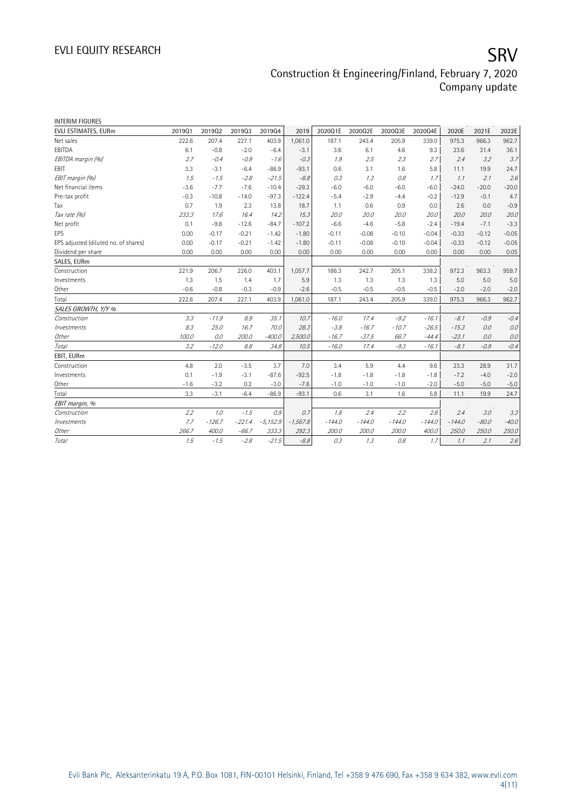| <b>INTERIM FIGURES</b>               |        |          |          |            |            |          |          |          |          |          |         |         |
|--------------------------------------|--------|----------|----------|------------|------------|----------|----------|----------|----------|----------|---------|---------|
| EVLI ESTIMATES, EURm                 | 201901 | 201902   | 201903   | 201904     | 2019       | 2020Q1E  | 2020Q2E  | 2020Q3E  | 2020Q4E  | 2020E    | 2021E   | 2022E   |
| Net sales                            | 222.6  | 207.4    | 227.1    | 403.9      | 1,061.0    | 187.1    | 243.4    | 205.9    | 339.0    | 975.3    | 966.3   | 962.7   |
| EBITDA                               | 6.1    | $-0.8$   | $-2.0$   | $-6.4$     | $-3.1$     | 3.6      | 6.1      | 4.6      | 9.3      | 23.6     | 31.4    | 36.1    |
| EBITDA margin (%)                    | 2.7    | $-0.4$   | $-0.9$   | $-1.6$     | $-0.3$     | 1.9      | 2.5      | 2.3      | 2.7      | 2.4      | 3.2     | 3.7     |
| <b>EBIT</b>                          | 3.3    | $-3.1$   | $-6.4$   | $-86.9$    | $-93.1$    | 0.6      | 3.1      | 1.6      | 5.8      | 11.1     | 19.9    | 24.7    |
| EBIT margin (%)                      | 1.5    | $-1.5$   | $-2.8$   | $-21.5$    | $-8.8$     | 0.3      | 1.3      | 0.8      | 1.7      | 1.1      | 2.1     | 2.6     |
| Net financial items                  | $-3.6$ | $-7.7$   | $-7.6$   | $-10.4$    | $-29.3$    | $-6.0$   | $-6.0$   | $-6.0$   | $-6.0$   | $-24.0$  | $-20.0$ | $-20.0$ |
| Pre-tax profit                       | $-0.3$ | $-10.8$  | $-14.0$  | $-97.3$    | $-122.4$   | $-5.4$   | $-2.9$   | $-4.4$   | $-0.2$   | $-12.9$  | $-0.1$  | 4.7     |
| Tax                                  | 0.7    | 1.9      | 2.3      | 13.8       | 18.7       | 1.1      | 0.6      | 0.9      | 0.0      | 2.6      | 0.0     | $-0.9$  |
| Tax rate (%)                         | 233.3  | 17.6     | 16.4     | 14.2       | 15.3       | 20.0     | 20.0     | 20.0     | 20.0     | 20.0     | 20.0    | 20.0    |
| Net profit                           | 0.1    | $-9.8$   | $-12.6$  | $-84.7$    | $-107.2$   | $-6.6$   | $-4.6$   | $-5.8$   | $-2.4$   | $-19.4$  | $-7.1$  | $-3.3$  |
| EPS                                  | 0.00   | $-0.17$  | $-0.21$  | $-1.42$    | $-1.80$    | $-0.11$  | $-0.08$  | $-0.10$  | $-0.04$  | $-0.33$  | $-0.12$ | $-0.05$ |
| EPS adjusted (diluted no. of shares) | 0.00   | $-0.17$  | $-0.21$  | $-1.42$    | $-1.80$    | $-0.11$  | $-0.08$  | $-0.10$  | $-0.04$  | $-0.33$  | $-0.12$ | $-0.05$ |
| Dividend per share                   | 0.00   | 0.00     | 0.00     | 0.00       | 0.00       | 0.00     | 0.00     | 0.00     | 0.00     | 0.00     | 0.00    | 0.05    |
| SALES, EURm                          |        |          |          |            |            |          |          |          |          |          |         |         |
| Construction                         | 221.9  | 206.7    | 226.0    | 403.1      | 1,057.7    | 186.3    | 242.7    | 205.1    | 338.2    | 972.3    | 963.3   | 959.7   |
| Investments                          | 1.3    | 1.5      | 1.4      | 1.7        | 5.9        | 1.3      | 1.3      | 1.3      | 1.3      | 5.0      | 5.0     | 5.0     |
| Other                                | $-0.6$ | $-0.8$   | $-0.3$   | $-0.9$     | $-2.6$     | $-0.5$   | $-0.5$   | $-0.5$   | $-0.5$   | $-2.0$   | $-2.0$  | $-2.0$  |
| Total                                | 222.6  | 207.4    | 227.1    | 403.9      | 1,061.0    | 187.1    | 243.4    | 205.9    | 339.0    | 975.3    | 966.3   | 962.7   |
| SALES GROWTH, Y/Y %                  |        |          |          |            |            |          |          |          |          |          |         |         |
| Construction                         | 3.3    | $-11.9$  | 8.9      | 35.1       | 10.7       | $-16.0$  | 17.4     | $-9.2$   | $-16.1$  | $-8.1$   | $-0.9$  | $-0.4$  |
| Investments                          | 8.3    | 25.0     | 16.7     | 70.0       | 28.3       | $-3.8$   | $-16.7$  | $-10.7$  | $-26.5$  | $-15.3$  | 0.0     | 0.0     |
| Other                                | 100.0  | 0.0      | 200.0    | $-400.0$   | 2,500.0    | $-16.7$  | $-37.5$  | 66.7     | $-44.4$  | $-23.1$  | 0.0     | 0.0     |
| Total                                | 3.2    | $-12.0$  | 8.8      | 34.8       | 10.5       | $-16.0$  | 17.4     | $-9.3$   | $-16.1$  | $-8.1$   | $-0.9$  | $-0.4$  |
| EBIT, EURm                           |        |          |          |            |            |          |          |          |          |          |         |         |
| Construction                         | 4.8    | 2.0      | $-3.5$   | 3.7        | 7.0        | 3.4      | 5.9      | 4.4      | 9.6      | 23.3     | 28.9    | 31.7    |
| Investments                          | 0.1    | $-1.9$   | $-3.1$   | $-87.6$    | $-92.5$    | $-1.8$   | $-1.8$   | $-1.8$   | $-1.8$   | $-7.2$   | $-4.0$  | $-2.0$  |
| Other                                | $-1.6$ | $-3.2$   | 0.2      | $-3.0$     | $-7.6$     | $-1.0$   | $-1.0$   | $-1.0$   | $-2.0$   | $-5.0$   | $-5.0$  | $-5.0$  |
| Total                                | 3.3    | $-3.1$   | $-6.4$   | $-86.9$    | $-93.1$    | 0.6      | 3.1      | 1.6      | 5.8      | 11.1     | 19.9    | 24.7    |
| EBIT margin, %                       |        |          |          |            |            |          |          |          |          |          |         |         |
| Construction                         | 2.2    | 1.0      | $-1.5$   | 0.9        | 0.7        | 1.8      | 2.4      | 2.2      | 2.8      | 2.4      | 3.0     | 3.3     |
| Investments                          | 7.7    | $-126.7$ | $-221.4$ | $-5,152.9$ | $-1,567.8$ | $-144.0$ | $-144.0$ | $-144.0$ | $-144.0$ | $-144.0$ | $-80.0$ | $-40.0$ |
| Other                                | 266.7  | 400.0    | $-66.7$  | 333.3      | 292.3      | 200.0    | 200.0    | 200.0    | 400.0    | 250.0    | 250.0   | 250.0   |
| Total                                | 1.5    | $-1.5$   | $-2.8$   | $-21.5$    | $-8.8$     | 0.3      | 1.3      | 0.8      | 1.7      | 1.1      | 2.1     | 2.6     |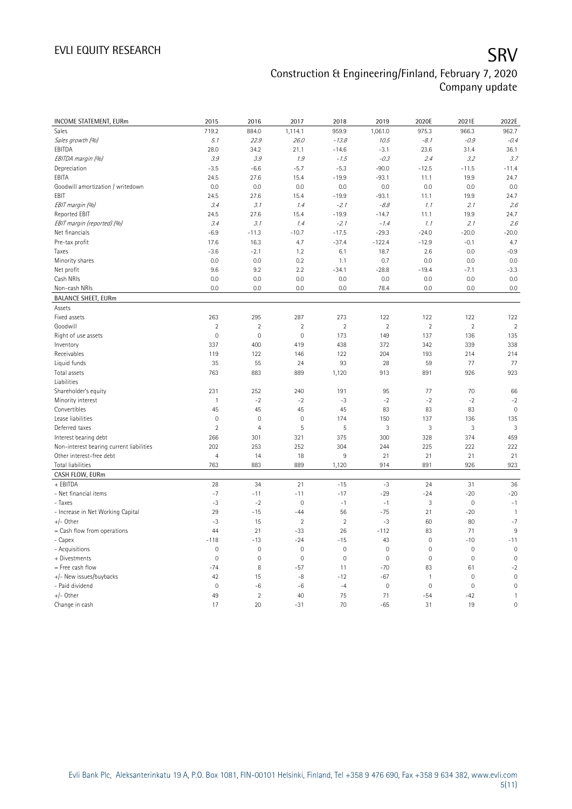| INCOME STATEMENT, EURm                         | 2015           | 2016           | 2017                 | 2018                 | 2019           | 2020E               | 2021E          | 2022E                |
|------------------------------------------------|----------------|----------------|----------------------|----------------------|----------------|---------------------|----------------|----------------------|
| Sales                                          | 719.2          | 884.0          | 1,114.1              | 959.9                | 1,061.0        | 975.3               | 966.3          | 962.7                |
| Sales growth (%)                               | 5.1            | 22.9           | 26.0                 | $-13.8$              | 10.5           | $-8.1$              | $-0.9$         | $-0.4$               |
| EBITDA                                         | 28.0           | 34.2           | 21.1                 | $-14.6$              | $-3.1$         | 23.6                | 31.4           | 36.1                 |
| EBITDA margin (%)                              | 3.9            | 3.9            | 1.9                  | $-1.5$               | $-0.3$         | 2.4                 | 3.2            | 3.7                  |
| Depreciation                                   | $-3.5$         | $-6.6$         | $-5.7$               | $-5.3$               | $-90.0$        | $-12.5$             | $-11.5$        | $-11.4$              |
| EBITA                                          | 24.5           | 27.6           | 15.4                 | $-19.9$              | $-93.1$        | 11.1                | 19.9           | 24.7                 |
| Goodwill amortization / writedown              | 0.0            | 0.0            | 0.0                  | 0.0                  | 0.0            | 0.0                 | 0.0            | 0.0                  |
| EBIT                                           | 24.5           | 27.6           | 15.4                 | $-19.9$              | $-93.1$        | 11.1                | 19.9           | 24.7                 |
| EBIT margin (%)                                | 3.4            | 3.1            | 1.4                  | $-2.1$               | $-8.8$         | 1.1                 | 2.1            | 2.6                  |
| Reported EBIT                                  | 24.5           | 27.6           | 15.4                 | $-19.9$              | $-14.7$        | 11.1                | 19.9           | 24.7                 |
| EBIT margin (reported) (%)                     | 3.4            | 3.1            | 1.4                  | $-2.1$               | $-1.4$         | 1.1                 | 2.1            | 2.6                  |
| Net financials                                 | $-6.9$         | $-11.3$        | $-10.7$              | $-17.5$              | $-29.3$        | $-24.0$             | $-20.0$        | $-20.0$              |
| Pre-tax profit                                 | 17.6           | 16.3           | 4.7                  | $-37.4$              | $-122.4$       | $-12.9$             | $-0.1$         | 4.7                  |
| Taxes                                          | $-3.6$         | $-2.1$         | 1.2                  | 6.1                  | 18.7           | 2.6                 | 0.0            | $-0.9$               |
| Minority shares                                | 0.0            | 0.0            | 0.2                  | 1.1                  | 0.7            | 0.0                 | 0.0            | 0.0                  |
| Net profit                                     | 9.6            | 9.2            | 2.2                  | $-34.1$              | $-28.8$        | $-19.4$             | $-7.1$         | $-3.3$               |
| Cash NRIs                                      | 0.0            | 0.0            | 0.0                  | 0.0                  | 0.0            | 0.0                 | 0.0            | 0.0                  |
| Non-cash NRIs                                  | 0.0            | 0.0            | 0.0                  | 0.0                  | 78.4           | 0.0                 | 0.0            | 0.0                  |
| <b>BALANCE SHEET, EURm</b>                     |                |                |                      |                      |                |                     |                |                      |
| Assets                                         |                |                |                      |                      |                |                     |                |                      |
| Fixed assets                                   | 263            | 295            | 287                  | 273                  | 122            | 122                 | 122            | 122                  |
| Goodwill                                       | $\overline{c}$ | $\overline{2}$ | $\overline{2}$       | $\overline{2}$       | $\overline{2}$ | $\overline{2}$      | $\overline{2}$ | $\overline{2}$       |
| Right of use assets                            | $\mathbf 0$    | $\mathbf 0$    | $\mathsf{O}\xspace$  | 173                  | 149            | 137                 | 136            | 135                  |
| Inventory                                      | 337            | 400            | 419                  | 438                  | 372            | 342                 | 339            | 338                  |
|                                                |                |                |                      |                      |                |                     |                |                      |
| Receivables                                    | 119            | 122            | 146                  | 122                  | 204<br>28      | 193                 | 214<br>77      | 214                  |
| Liquid funds                                   | 35             | 55             | 24                   | 93                   |                | 59                  |                | 77                   |
| Total assets<br>Liabilities                    | 763            | 883            | 889                  | 1,120                | 913            | 891                 | 926            | 923                  |
|                                                |                |                |                      |                      |                |                     |                |                      |
| Shareholder's equity                           | 231            | 252            | 240                  | 191                  | 95             | 77                  | 70             | 66                   |
| Minority interest                              | $\mathbf{1}$   | $-2$           | $-2$                 | $-3$                 | $-2$           | $-2$                | $-2$           | $-2$                 |
| Convertibles                                   | 45             | 45             | 45                   | 45                   | 83             | 83                  | 83             | $\mathbb O$          |
| Lease liabilities                              | $\mathbf 0$    | $\mathbf 0$    | 0                    | 174                  | 150            | 137                 | 136            | 135                  |
| Deferred taxes                                 | $\overline{2}$ | $\overline{4}$ | 5                    | 5                    | 3              | 3                   | $\sqrt{3}$     | 3                    |
| Interest bearing debt                          | 266            | 301            | 321                  | 375                  | 300            | 328                 | 374            | 459                  |
| Non-interest bearing current liabilities       | 202            | 253            | 252                  | 304                  | 244            | 225                 | 222            | 222                  |
| Other interest-free debt                       | $\overline{4}$ | 14             | 18                   | $\overline{9}$       | 21             | 21                  | 21             | 21                   |
| Total liabilities                              | 763            | 883            | 889                  | 1,120                | 914            | 891                 | 926            | 923                  |
| CASH FLOW, EURm                                |                |                |                      |                      |                |                     |                |                      |
| + EBITDA                                       | 28             | 34             | 21                   | $-15$                | $-3$<br>$-29$  | 24                  | 31<br>$-20$    | 36                   |
| - Net financial items                          | $-7$           | $-11$          | $-11$<br>$\mathbf 0$ | $-17$                | $-1$           | $-24$               | $\mathbf{0}$   | $-20$                |
| - Taxes                                        | $-3$           | $-2$           |                      | $-1$                 |                | 3                   |                | $-1$                 |
| - Increase in Net Working Capital<br>+/- Other | 29             | $-15$          | $-44$                | 56<br>$\overline{2}$ | $-75$<br>$-3$  | 21                  | $-20$          | $\mathbf{1}$<br>$-7$ |
|                                                | $-3$<br>44     | 15             | $\overline{2}$       |                      |                | 60                  | 80             | 9                    |
| = Cash flow from operations                    |                | 21             | $-33$                | 26                   | $-112$         | 83                  | 71             |                      |
| - Capex                                        | $-118$         | $-13$          | $-24$                | $-15$                | 43             | $\mathbb O$         | $-10$          | $-11$                |
| - Acquisitions                                 | $\mathbf 0$    | $\mathbf 0$    | $\mathsf{O}\xspace$  | $\mathbf 0$          | $\mathbf 0$    | $\mathsf{O}\xspace$ | $\mathbf 0$    | $\mathbf 0$          |
| + Divestments                                  | $\mathbf 0$    | $\mathbf 0$    | $\mathsf{O}\xspace$  | $\mathbf 0$          | $\mathbf 0$    | $\mathsf{O}\xspace$ | $\mathbf 0$    | $\mathbf 0$          |
| = Free cash flow                               | $-74$          | 8              | $-57$                | 11                   | $-70$          | 83                  | 61             | $-2$                 |
| +/- New issues/buybacks                        | 42             | 15             | -8                   | $-12$                | $-67$          | $\mathbf{1}$        | $\mathbf 0$    | $\mathbf 0$          |
| - Paid dividend                                | $\mathbf 0$    | $-6$           | $-6$                 | $-4$                 | $\mathbf 0$    | $\mathbf 0$         | $\mathbf 0$    | $\mathsf{O}\xspace$  |
| +/- Other                                      | 49             | $\overline{2}$ | 40                   | 75                   | 71             | $-54$               | $-42$          | $\mathbf{1}$         |
| Change in cash                                 | 17             | 20             | $-31$                | 70                   | $-65$          | 31                  | 19             | $\mathsf{O}\xspace$  |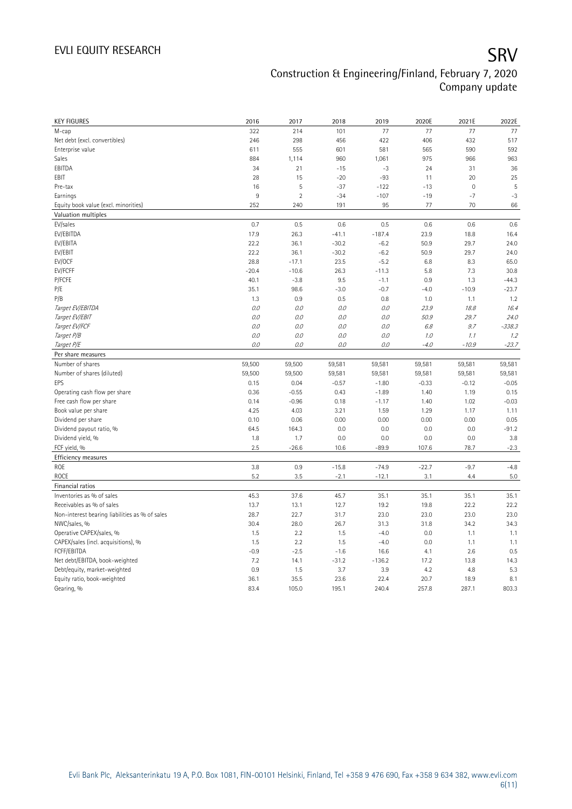| <b>KEY FIGURES</b>                                              | 2016         | 2017           | 2018         | 2019         | 2020E   | 2021E       | 2022E    |
|-----------------------------------------------------------------|--------------|----------------|--------------|--------------|---------|-------------|----------|
| M-cap                                                           | 322          | 214            | 101          | 77           | 77      | 77          | 77       |
| Net debt (excl. convertibles)                                   | 246          | 298            | 456          | 422          | 406     | 432         | 517      |
| Enterprise value                                                | 611          | 555            | 601          | 581          | 565     | 590         | 592      |
| Sales                                                           | 884          | 1,114          | 960          | 1,061        | 975     | 966         | 963      |
| EBITDA                                                          | 34           | 21             | $-15$        | $-3$         | 24      | 31          | 36       |
| EBIT                                                            | 28           | 15             | $-20$        | $-93$        | 11      | 20          | 25       |
| Pre-tax                                                         | 16           | 5              | $-37$        | $-122$       | $-13$   | $\mathbf 0$ | 5        |
| Earnings                                                        | 9            | $\overline{2}$ | $-34$        | $-107$       | $-19$   | $-7$        | $-3$     |
| Equity book value (excl. minorities)                            | 252          | 240            | 191          | 95           | 77      | 70          | 66       |
| Valuation multiples                                             |              |                |              |              |         |             |          |
| EV/sales                                                        | 0.7          | 0.5            | 0.6          | 0.5          | 0.6     | 0.6         | 0.6      |
| EV/EBITDA                                                       | 17.9         | 26.3           | $-41.1$      | $-187.4$     | 23.9    | 18.8        | 16.4     |
| EV/EBITA                                                        | 22.2         | 36.1           | $-30.2$      | $-6.2$       | 50.9    | 29.7        | 24.0     |
| EV/EBIT                                                         | 22.2         | 36.1           | $-30.2$      | $-6.2$       | 50.9    | 29.7        | 24.0     |
| EV/OCF                                                          | 28.8         | $-17.1$        | 23.5         | $-5.2$       | 6.8     | 8.3         | 65.0     |
| EV/FCFF                                                         | $-20.4$      | $-10.6$        | 26.3         | $-11.3$      | 5.8     | 7.3         | 30.8     |
| P/FCFE                                                          | 40.1         | $-3.8$         | 9.5          | $-1.1$       | 0.9     | 1.3         | $-44.3$  |
| P/E                                                             | 35.1         | 98.6           | $-3.0$       | $-0.7$       | $-4.0$  | $-10.9$     | $-23.7$  |
| P/B                                                             | 1.3          | 0.9            | 0.5          | 0.8          | 1.0     | 1.1         | 1.2      |
| Target EV/EBITDA                                                | 0.0          | 0.0            | $0.0\,$      | 0.0          | 23.9    | 18.8        | 16.4     |
| Target EV/EBIT                                                  | 0.0          | 0.0            | $0.0$        | 0.0          | 50.9    | 29.7        | 24.0     |
| Target EV/FCF                                                   | 0.0          | 0.0            | $0.0$        | 0.0          | 6.8     | 9.7         | $-338.3$ |
| Target P/B                                                      | 0.0          | 0.0            | 0.0          | 0.0          | 1.0     | 1.1         | 1.2      |
| Target P/E                                                      | 0.0          | 0.0            | 0.0          | 0.0          | $-4.0$  | $-10.9$     | $-23.7$  |
| Per share measures                                              |              |                |              |              |         |             |          |
| Number of shares                                                | 59,500       | 59,500         | 59,581       | 59,581       | 59,581  | 59,581      | 59,581   |
| Number of shares (diluted)                                      | 59,500       | 59,500         | 59,581       | 59,581       | 59,581  | 59,581      | 59,581   |
| EPS                                                             | 0.15         | 0.04           | $-0.57$      | $-1.80$      | $-0.33$ | $-0.12$     | $-0.05$  |
| Operating cash flow per share                                   | 0.36         | $-0.55$        | 0.43         | $-1.89$      | 1.40    | 1.19        | 0.15     |
| Free cash flow per share                                        | 0.14         | $-0.96$        | 0.18         | $-1.17$      | 1.40    | 1.02        | $-0.03$  |
| Book value per share                                            | 4.25         | 4.03           | 3.21         | 1.59         | 1.29    | 1.17        | 1.11     |
| Dividend per share                                              | 0.10         | 0.06           | 0.00         | 0.00         | 0.00    | 0.00        | 0.05     |
| Dividend payout ratio, %                                        |              |                |              |              |         |             |          |
|                                                                 | 64.5         | 164.3          | 0.0          | 0.0          | 0.0     | 0.0         | $-91.2$  |
| Dividend yield, %                                               | 1.8          | 1.7            | 0.0          | 0.0          | 0.0     | 0.0         | 3.8      |
| FCF yield, %                                                    | 2.5          | $-26.6$        | 10.6         | $-89.9$      | 107.6   | 78.7        |          |
| Efficiency measures                                             |              |                |              |              |         |             | $-2.3$   |
| <b>ROE</b>                                                      | 3.8          | 0.9            | $-15.8$      | $-74.9$      | $-22.7$ | $-9.7$      | $-4.8$   |
| <b>ROCE</b>                                                     | 5.2          |                |              |              |         | 4.4         | 5.0      |
| Financial ratios                                                |              | 3.5            | $-2.1$       | $-12.1$      | 3.1     |             |          |
| Inventories as % of sales                                       | 45.3         | 37.6           | 45.7         |              | 35.1    | 35.1        | 35.1     |
|                                                                 |              |                |              | 35.1<br>19.2 | 19.8    | 22.2        | 22.2     |
| Receivables as % of sales                                       | 13.7<br>28.7 | 13.1<br>22.7   | 12.7<br>31.7 | 23.0         | 23.0    | 23.0        | 23.0     |
| Non-interest bearing liabilities as % of sales<br>NWC/sales, %  | 30.4         | 28.0           | 26.7         | 31.3         | 31.8    | 34.2        | 34.3     |
|                                                                 | 1.5          | 2.2            | 1.5          | $-4.0$       | 0.0     | 1.1         | 1.1      |
| Operative CAPEX/sales, %<br>CAPEX/sales (incl. acquisitions), % | 1.5          | 2.2            | 1.5          | $-4.0$       | 0.0     | 1.1         | 1.1      |
| FCFF/EBITDA                                                     | $-0.9$       | $-2.5$         | $-1.6$       | 16.6         | 4.1     | 2.6         | 0.5      |
| Net debt/EBITDA, book-weighted                                  | 7.2          | 14.1           | $-31.2$      | $-136.2$     | 17.2    | 13.8        | 14.3     |
| Debt/equity, market-weighted                                    | 0.9          | 1.5            | 3.7          | 3.9          | 4.2     | 4.8         | 5.3      |
| Equity ratio, book-weighted                                     | 36.1         | 35.5           | 23.6         | 22.4         | 20.7    | 18.9        | 8.1      |
| Gearing, %                                                      | 83.4         | 105.0          | 195.1        | 240.4        | 257.8   | 287.1       | 803.3    |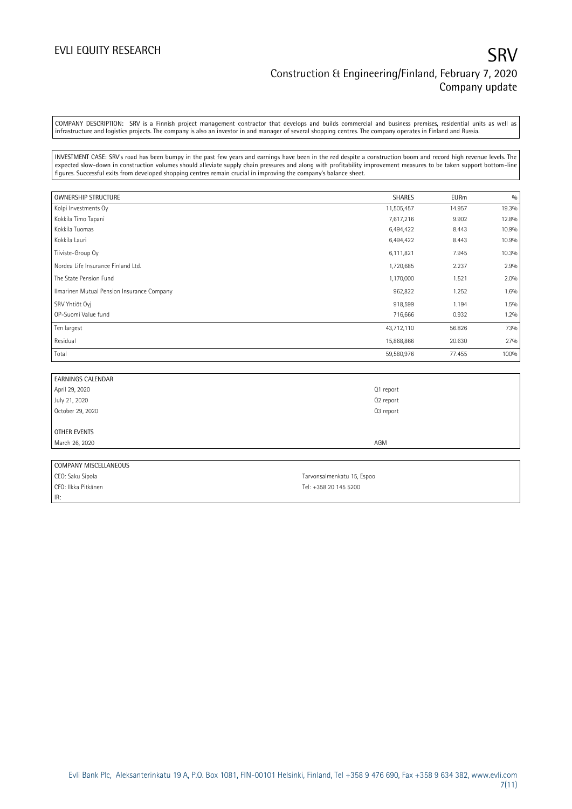### EVLI EQUITY RESEARCH SANTO THE SANTO THE SANTO THE SANTO THE SANTO THE SANTO THE SANTO THE SANTO THE SANTO THE SANTO THE SANTO THE SANTO THE SANTO THE SANTO THE SANTO THE SANTO THE SANTO THE SANTO THE SANTO THE SANTO THE S Construction & Engineering/Finland, February 7, 2020 Company update

COMPANY DESCRIPTION: SRV is a Finnish project management contractor that develops and builds commercial and business premises, residential units as well as infrastructure and logistics projects. The company is also an investor in and manager of several shopping centres. The company operates in Finland and Russia.

INVESTMENT CASE: SRV's road has been bumpy in the past few years and earnings have been in the red despite a construction boom and record high revenue levels. The expected slow-down in construction volumes should alleviate supply chain pressures and along with profitability improvement measures to be taken support bottom-line figures. Successful exits from developed shopping centres remain crucial in improving the company's balance sheet.

| <b>OWNERSHIP STRUCTURE</b>                 | <b>SHARES</b> | <b>EURm</b> | 0/0   |
|--------------------------------------------|---------------|-------------|-------|
| Kolpi Investments Oy                       | 11,505,457    | 14.957      | 19.3% |
| Kokkila Timo Tapani                        | 7,617,216     | 9.902       | 12.8% |
| Kokkila Tuomas                             | 6,494,422     | 8.443       | 10.9% |
| Kokkila Lauri                              | 6,494,422     | 8.443       | 10.9% |
| Tiiviste-Group Oy                          | 6,111,821     | 7.945       | 10.3% |
| Nordea Life Insurance Finland Ltd.         | 1,720,685     | 2.237       | 2.9%  |
| The State Pension Fund                     | 1,170,000     | 1.521       | 2.0%  |
| Ilmarinen Mutual Pension Insurance Company | 962,822       | 1.252       | 1.6%  |
| SRV Yhtiöt Oyj                             | 918,599       | 1.194       | 1.5%  |
| OP-Suomi Value fund                        | 716,666       | 0.932       | 1.2%  |
| Ten largest                                | 43,712,110    | 56.826      | 73%   |
| Residual                                   | 15,868,866    | 20.630      | 27%   |
| Total                                      | 59,580,976    | 77.455      | 100%  |

| <b>EARNINGS CALENDAR</b> |           |
|--------------------------|-----------|
| April 29, 2020           | Q1 report |
| July 21, 2020            | Q2 report |
| October 29, 2020         | Q3 report |
|                          |           |
| OTHER EVENTS             |           |
| March 26, 2020           | AGM       |
|                          |           |

| COMPANY MISCELLANEOUS |                            |
|-----------------------|----------------------------|
| CEO: Saku Sipola      | Tarvonsalmenkatu 15, Espoo |
| CFO: Ilkka Pitkänen   | Tel: $+358$ 20 145 5200    |
| IR:                   |                            |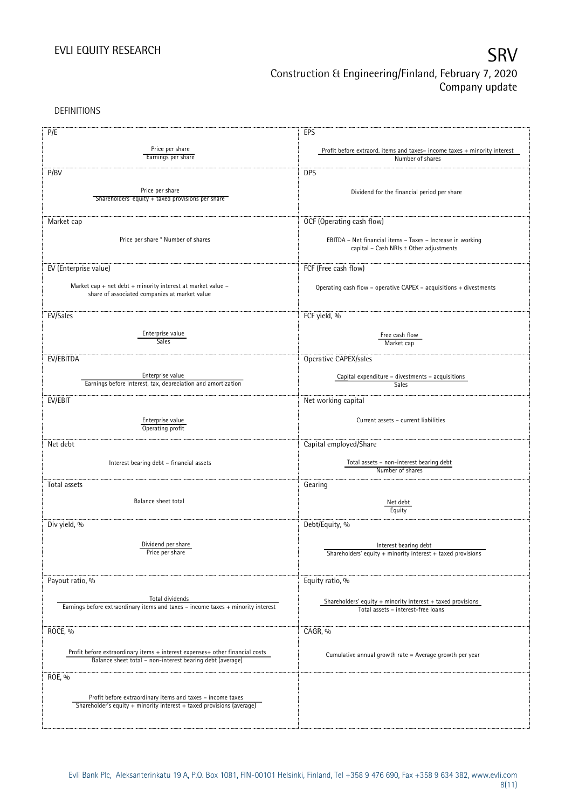DEFINITIONS

| P/E                                                                                                                                       | EPS                                                                                          |
|-------------------------------------------------------------------------------------------------------------------------------------------|----------------------------------------------------------------------------------------------|
| Price per share                                                                                                                           |                                                                                              |
| Earnings per share                                                                                                                        | Profit before extraord. items and taxes-income taxes + minority interest<br>Number of shares |
|                                                                                                                                           |                                                                                              |
| P/BV                                                                                                                                      | <b>DPS</b>                                                                                   |
|                                                                                                                                           |                                                                                              |
| Price per share                                                                                                                           | Dividend for the financial period per share                                                  |
| Shareholders' equity + taxed provisions per share                                                                                         |                                                                                              |
|                                                                                                                                           |                                                                                              |
| Market cap                                                                                                                                | OCF (Operating cash flow)                                                                    |
|                                                                                                                                           |                                                                                              |
| Price per share * Number of shares                                                                                                        | EBITDA - Net financial items - Taxes - Increase in working                                   |
|                                                                                                                                           | capital - Cash NRIs ± Other adjustments                                                      |
|                                                                                                                                           |                                                                                              |
| EV (Enterprise value)                                                                                                                     | FCF (Free cash flow)                                                                         |
|                                                                                                                                           |                                                                                              |
| Market cap + net debt + minority interest at market value $-$<br>share of associated companies at market value                            | Operating cash flow - operative CAPEX - acquisitions + divestments                           |
|                                                                                                                                           |                                                                                              |
|                                                                                                                                           |                                                                                              |
| EV/Sales                                                                                                                                  | FCF yield, %                                                                                 |
|                                                                                                                                           |                                                                                              |
| Enterprise value<br>Sales                                                                                                                 | Free cash flow                                                                               |
|                                                                                                                                           | Market cap                                                                                   |
| EV/EBITDA                                                                                                                                 | Operative CAPEX/sales                                                                        |
|                                                                                                                                           |                                                                                              |
| Enterprise value                                                                                                                          | Capital expenditure - divestments - acquisitions                                             |
| Earnings before interest, tax, depreciation and amortization                                                                              | Sales                                                                                        |
|                                                                                                                                           |                                                                                              |
| EV/EBIT                                                                                                                                   | Net working capital                                                                          |
|                                                                                                                                           |                                                                                              |
| Enterprise value<br>Operating profit                                                                                                      | Current assets - current liabilities                                                         |
|                                                                                                                                           |                                                                                              |
| Net debt                                                                                                                                  | Capital employed/Share                                                                       |
|                                                                                                                                           |                                                                                              |
| Interest bearing debt - financial assets                                                                                                  | Total assets - non-interest bearing debt                                                     |
|                                                                                                                                           | Number of shares                                                                             |
| Total assets                                                                                                                              | Gearing                                                                                      |
|                                                                                                                                           |                                                                                              |
| Balance sheet total                                                                                                                       | Net debt                                                                                     |
|                                                                                                                                           | Equity                                                                                       |
| Div yield, %                                                                                                                              | Debt/Equity, %                                                                               |
|                                                                                                                                           |                                                                                              |
| Dividend per share                                                                                                                        |                                                                                              |
| Price per share                                                                                                                           | Interest bearing debt<br>Shareholders' equity + minority interest + taxed provisions         |
|                                                                                                                                           |                                                                                              |
|                                                                                                                                           |                                                                                              |
| Payout ratio, %                                                                                                                           | Equity ratio, %                                                                              |
|                                                                                                                                           |                                                                                              |
| Total dividends                                                                                                                           | Shareholders' equity $+$ minority interest $+$ taxed provisions                              |
| Earnings before extraordinary items and taxes - income taxes + minority interest                                                          | Total assets - interest-free loans                                                           |
|                                                                                                                                           |                                                                                              |
| ROCE, %                                                                                                                                   | CAGR, %                                                                                      |
|                                                                                                                                           |                                                                                              |
|                                                                                                                                           |                                                                                              |
| Profit before extraordinary items + interest expenses+ other financial costs<br>Balance sheet total - non-interest bearing debt (average) | Cumulative annual growth rate = Average growth per year                                      |
|                                                                                                                                           |                                                                                              |
| ROE, %                                                                                                                                    |                                                                                              |
|                                                                                                                                           |                                                                                              |
| Profit before extraordinary items and taxes - income taxes                                                                                |                                                                                              |
| Shareholder's equity + minority interest + taxed provisions (average)                                                                     |                                                                                              |
|                                                                                                                                           |                                                                                              |
|                                                                                                                                           |                                                                                              |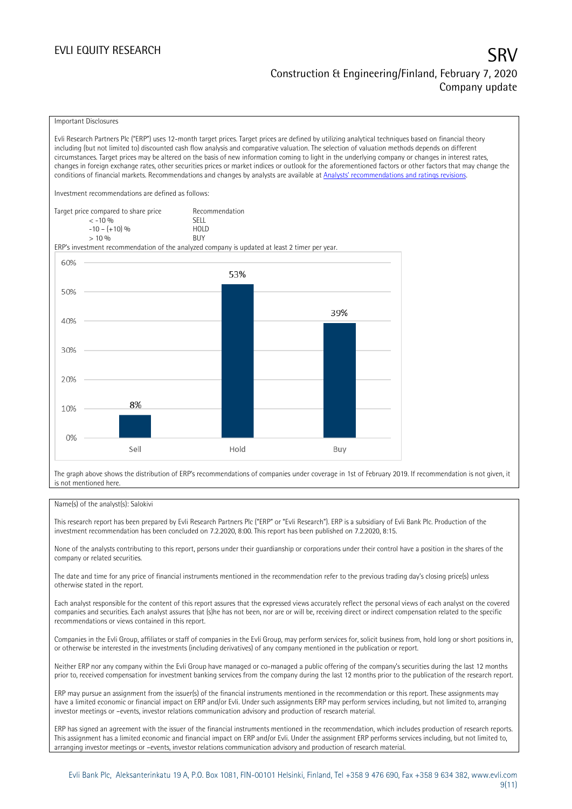### Important Disclosures

Evli Research Partners Plc ("ERP") uses 12-month target prices. Target prices are defined by utilizing analytical techniques based on financial theory including (but not limited to) discounted cash flow analysis and comparative valuation. The selection of valuation methods depends on different circumstances. Target prices may be altered on the basis of new information coming to light in the underlying company or changes in interest rates, changes in foreign exchange rates, other securities prices or market indices or outlook for the aforementioned factors or other factors that may change the conditions of financial markets. Recommendations and changes by analysts are available at [Analysts' recommendations and ratings revisions](https://research.evli.com/JasperAllModels.action?authParam=key;461&authParam=x;G3rNagWrtf7K&authType=3). Investment recommendations are defined as follows: Target price compared to share price Recommendation < -10 % SELL  $-10 - (+10) \%$  HOL<br>  $> 10 \%$  BUY  $> 10\%$ ERP's investment recommendation of the analyzed company is updated at least 2 timer per year. 60% 53% 50% 39% 40% 30% 20% 8% 10%  $0%$ Hold Sell Buy

The graph above shows the distribution of ERP's recommendations of companies under coverage in 1st of February 2019. If recommendation is not given, it is not mentioned here.

### Name(s) of the analyst(s): Salokivi

This research report has been prepared by Evli Research Partners Plc ("ERP" or "Evli Research"). ERP is a subsidiary of Evli Bank Plc. Production of the investment recommendation has been concluded on 7.2.2020, 8:00. This report has been published on 7.2.2020, 8:15.

None of the analysts contributing to this report, persons under their guardianship or corporations under their control have a position in the shares of the company or related securities.

The date and time for any price of financial instruments mentioned in the recommendation refer to the previous trading day's closing price(s) unless otherwise stated in the report.

Each analyst responsible for the content of this report assures that the expressed views accurately reflect the personal views of each analyst on the covered companies and securities. Each analyst assures that (s)he has not been, nor are or will be, receiving direct or indirect compensation related to the specific recommendations or views contained in this report.

Companies in the Evli Group, affiliates or staff of companies in the Evli Group, may perform services for, solicit business from, hold long or short positions in, or otherwise be interested in the investments (including derivatives) of any company mentioned in the publication or report.

Neither ERP nor any company within the Evli Group have managed or co-managed a public offering of the company's securities during the last 12 months prior to, received compensation for investment banking services from the company during the last 12 months prior to the publication of the research report.

ERP may pursue an assignment from the issuer(s) of the financial instruments mentioned in the recommendation or this report. These assignments may have a limited economic or financial impact on ERP and/or Evli. Under such assignments ERP may perform services including, but not limited to, arranging investor meetings or –events, investor relations communication advisory and production of research material.

ERP has signed an agreement with the issuer of the financial instruments mentioned in the recommendation, which includes production of research reports. This assignment has a limited economic and financial impact on ERP and/or Evli. Under the assignment ERP performs services including, but not limited to, arranging investor meetings or –events, investor relations communication advisory and production of research material.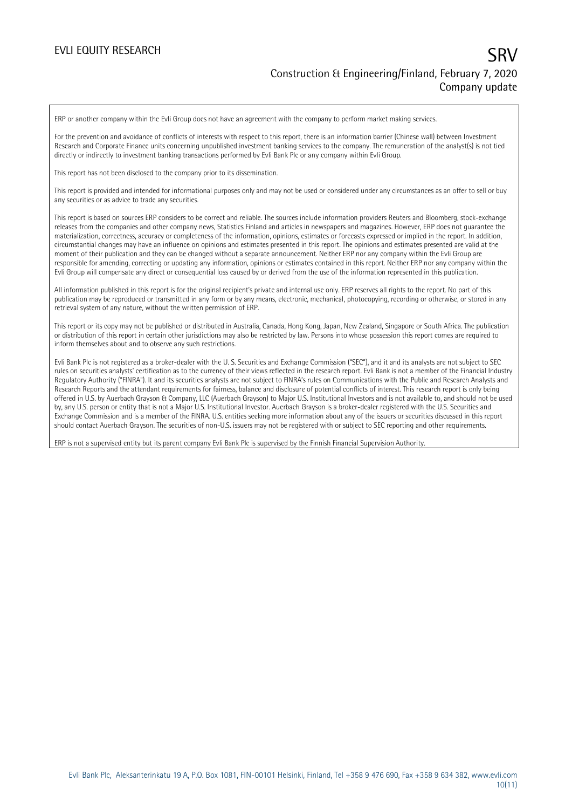ERP or another company within the Evli Group does not have an agreement with the company to perform market making services.

For the prevention and avoidance of conflicts of interests with respect to this report, there is an information barrier (Chinese wall) between Investment Research and Corporate Finance units concerning unpublished investment banking services to the company. The remuneration of the analyst(s) is not tied directly or indirectly to investment banking transactions performed by Evli Bank Plc or any company within Evli Group.

This report has not been disclosed to the company prior to its dissemination.

This report is provided and intended for informational purposes only and may not be used or considered under any circumstances as an offer to sell or buy any securities or as advice to trade any securities.

This report is based on sources ERP considers to be correct and reliable. The sources include information providers Reuters and Bloomberg, stock-exchange releases from the companies and other company news, Statistics Finland and articles in newspapers and magazines. However, ERP does not guarantee the materialization, correctness, accuracy or completeness of the information, opinions, estimates or forecasts expressed or implied in the report. In addition, circumstantial changes may have an influence on opinions and estimates presented in this report. The opinions and estimates presented are valid at the moment of their publication and they can be changed without a separate announcement. Neither ERP nor any company within the Evli Group are responsible for amending, correcting or updating any information, opinions or estimates contained in this report. Neither ERP nor any company within the Evli Group will compensate any direct or consequential loss caused by or derived from the use of the information represented in this publication.

All information published in this report is for the original recipient's private and internal use only. ERP reserves all rights to the report. No part of this publication may be reproduced or transmitted in any form or by any means, electronic, mechanical, photocopying, recording or otherwise, or stored in any retrieval system of any nature, without the written permission of ERP.

This report or its copy may not be published or distributed in Australia, Canada, Hong Kong, Japan, New Zealand, Singapore or South Africa. The publication or distribution of this report in certain other jurisdictions may also be restricted by law. Persons into whose possession this report comes are required to inform themselves about and to observe any such restrictions.

Evli Bank Plc is not registered as a broker-dealer with the U. S. Securities and Exchange Commission ("SEC"), and it and its analysts are not subject to SEC rules on securities analysts' certification as to the currency of their views reflected in the research report. Evli Bank is not a member of the Financial Industry Regulatory Authority ("FINRA"). It and its securities analysts are not subject to FINRA's rules on Communications with the Public and Research Analysts and Research Reports and the attendant requirements for fairness, balance and disclosure of potential conflicts of interest. This research report is only being offered in U.S. by Auerbach Grayson & Company, LLC (Auerbach Grayson) to Major U.S. Institutional Investors and is not available to, and should not be used by, any U.S. person or entity that is not a Major U.S. Institutional Investor. Auerbach Grayson is a broker-dealer registered with the U.S. Securities and Exchange Commission and is a member of the FINRA. U.S. entities seeking more information about any of the issuers or securities discussed in this report should contact Auerbach Grayson. The securities of non-U.S. issuers may not be registered with or subject to SEC reporting and other requirements.

ERP is not a supervised entity but its parent company Evli Bank Plc is supervised by the Finnish Financial Supervision Authority.